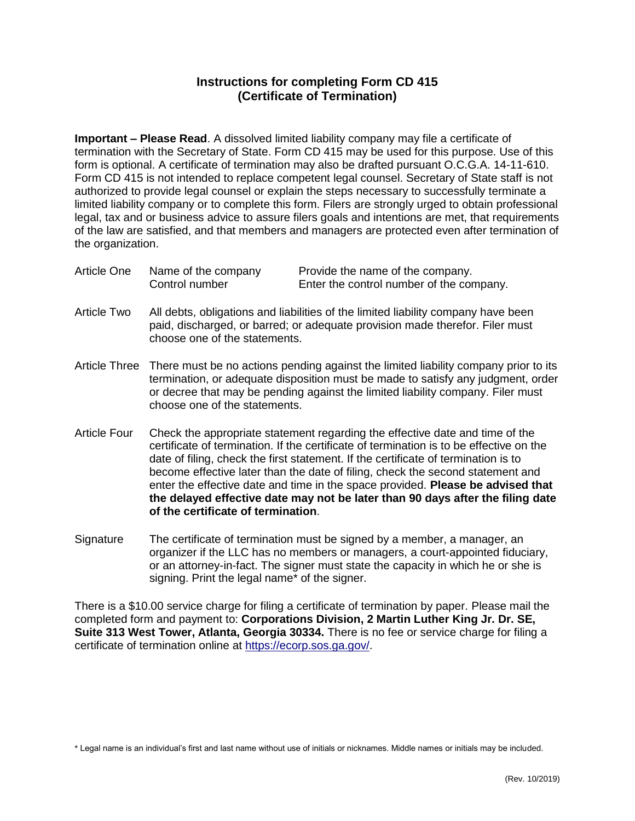## **Instructions for completing Form CD 415 (Certificate of Termination)**

**Important – Please Read**. A dissolved limited liability company may file a certificate of termination with the Secretary of State. Form CD 415 may be used for this purpose. Use of this form is optional. A certificate of termination may also be drafted pursuant O.C.G.A. 14-11-610. Form CD 415 is not intended to replace competent legal counsel. Secretary of State staff is not authorized to provide legal counsel or explain the steps necessary to successfully terminate a limited liability company or to complete this form. Filers are strongly urged to obtain professional legal, tax and or business advice to assure filers goals and intentions are met, that requirements of the law are satisfied, and that members and managers are protected even after termination of the organization.

| Article One | Name of the company | Provide the name of the company.         |
|-------------|---------------------|------------------------------------------|
|             | Control number      | Enter the control number of the company. |

- Article Two All debts, obligations and liabilities of the limited liability company have been paid, discharged, or barred; or adequate provision made therefor. Filer must choose one of the statements.
- Article Three There must be no actions pending against the limited liability company prior to its termination, or adequate disposition must be made to satisfy any judgment, order or decree that may be pending against the limited liability company. Filer must choose one of the statements.
- Article Four Check the appropriate statement regarding the effective date and time of the certificate of termination. If the certificate of termination is to be effective on the date of filing, check the first statement. If the certificate of termination is to become effective later than the date of filing, check the second statement and enter the effective date and time in the space provided. **Please be advised that the delayed effective date may not be later than 90 days after the filing date of the certificate of termination**.
- Signature The certificate of termination must be signed by a member, a manager, an organizer if the LLC has no members or managers, a court-appointed fiduciary, or an attorney-in-fact. The signer must state the capacity in which he or she is signing. Print the legal name\* of the signer.

There is a \$10.00 service charge for filing a certificate of termination by paper. Please mail the completed form and payment to: **Corporations Division, 2 Martin Luther King Jr. Dr. SE, Suite 313 West Tower, Atlanta, Georgia 30334.** There is no fee or service charge for filing a certificate of termination online at [https://ecorp.sos.ga.gov/.](https://ecorp.sos.ga.gov/)

\* Legal name is an individual's first and last name without use of initials or nicknames. Middle names or initials may be included.